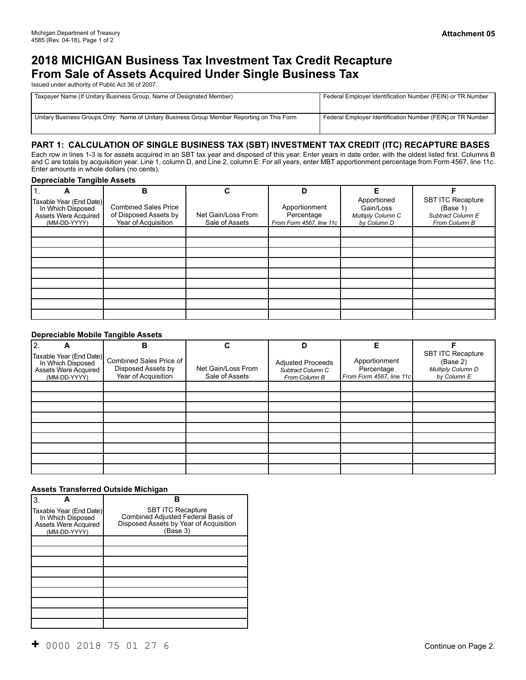# **2018 MICHIGAN Business Tax Investment Tax Credit Recapture From Sale of Assets Acquired Under Single Business Tax**

Issued under authority of Public Act 36 of 2007.

| Taxpayer Name (If Unitary Business Group, Name of Designated Member)                       | Federal Employer Identification Number (FEIN) or TR Number |  |
|--------------------------------------------------------------------------------------------|------------------------------------------------------------|--|
|                                                                                            |                                                            |  |
| Unitary Business Groups Only: Name of Unitary Business Group Member Reporting on This Form | Federal Employer Identification Number (FEIN) or TR Number |  |
|                                                                                            |                                                            |  |

### **PART 1: CALCULATION OF SINGLE BUSINESS TAX (SBT) INVESTMENT TAX CREDIT (ITC) RECAPTURE BASES**

Each row in lines 1-3 is for assets acquired in an SBT tax year and disposed of this year. Enter years in date order, with the oldest listed first. Columns B and C are totals by acquisition year. Line 1, column D, and Line 2, column E: For all years, enter MBT apportionment percentage from Form 4567, line 11c. Enter amounts in whole dollars (no cents).

#### **Depreciable Tangible Assets**

| I 1.<br>A                                                                            | В                                                                           | C                                    | D                                                       | Е                                                            |                                                                     |
|--------------------------------------------------------------------------------------|-----------------------------------------------------------------------------|--------------------------------------|---------------------------------------------------------|--------------------------------------------------------------|---------------------------------------------------------------------|
| Taxable Year (End Date)<br>In Which Disposed<br>Assets Were Acquired<br>(MM-DD-YYYY) | <b>Combined Sales Price</b><br>of Disposed Assets by<br>Year of Acquisition | Net Gain/Loss From<br>Sale of Assets | Apportionment<br>Percentage<br>From Form 4567, line 11c | Apportioned<br>Gain/Loss<br>Multiply Column C<br>by Column D | SBT ITC Recapture<br>(Base 1)<br>Subtract Column E<br>From Column B |
|                                                                                      |                                                                             |                                      |                                                         |                                                              |                                                                     |
|                                                                                      |                                                                             |                                      |                                                         |                                                              |                                                                     |
|                                                                                      |                                                                             |                                      |                                                         |                                                              |                                                                     |
|                                                                                      |                                                                             |                                      |                                                         |                                                              |                                                                     |
|                                                                                      |                                                                             |                                      |                                                         |                                                              |                                                                     |
|                                                                                      |                                                                             |                                      |                                                         |                                                              |                                                                     |
|                                                                                      |                                                                             |                                      |                                                         |                                                              |                                                                     |
|                                                                                      |                                                                             |                                      |                                                         |                                                              |                                                                     |
|                                                                                      |                                                                             |                                      |                                                         |                                                              |                                                                     |

#### **Depreciable Mobile Tangible Assets**

| $\overline{2}$ .<br>А                | в                                                                                              | C                                    | D                                                              | Е                                                       |                                                                          |
|--------------------------------------|------------------------------------------------------------------------------------------------|--------------------------------------|----------------------------------------------------------------|---------------------------------------------------------|--------------------------------------------------------------------------|
| Assets Were Acquired<br>(MM-DD-YYYY) | Taxable Year (End Date) Combined Sales Price of I<br>Disposed Assets by<br>Year of Acquisition | Net Gain/Loss From<br>Sale of Assets | <b>Adjusted Proceeds</b><br>Subtract Column C<br>From Column B | Apportionment<br>Percentage<br>From Form 4567, line 11c | <b>SBT ITC Recapture</b><br>(Base 2)<br>Multiply Column D<br>by Column E |
|                                      |                                                                                                |                                      |                                                                |                                                         |                                                                          |
|                                      |                                                                                                |                                      |                                                                |                                                         |                                                                          |
|                                      |                                                                                                |                                      |                                                                |                                                         |                                                                          |
|                                      |                                                                                                |                                      |                                                                |                                                         |                                                                          |
|                                      |                                                                                                |                                      |                                                                |                                                         |                                                                          |
|                                      |                                                                                                |                                      |                                                                |                                                         |                                                                          |
|                                      |                                                                                                |                                      |                                                                |                                                         |                                                                          |
|                                      |                                                                                                |                                      |                                                                |                                                         |                                                                          |
|                                      |                                                                                                |                                      |                                                                |                                                         |                                                                          |

#### **Assets Transferred Outside Michigan**

| ΙЗ.                                                                                         | В                                                                                                                    |  |  |
|---------------------------------------------------------------------------------------------|----------------------------------------------------------------------------------------------------------------------|--|--|
| Taxable Year (End Date)<br>In Which Disposed<br><b>Assets Were Acquired</b><br>(MM-DD-YYYY) | <b>SBT ITC Recapture</b><br>Combined Adjusted Federal Basis of<br>Disposed Assets by Year of Acquisition<br>(Base 3) |  |  |
|                                                                                             |                                                                                                                      |  |  |
|                                                                                             |                                                                                                                      |  |  |
|                                                                                             |                                                                                                                      |  |  |
|                                                                                             |                                                                                                                      |  |  |
|                                                                                             |                                                                                                                      |  |  |
|                                                                                             |                                                                                                                      |  |  |
|                                                                                             |                                                                                                                      |  |  |
|                                                                                             |                                                                                                                      |  |  |
|                                                                                             |                                                                                                                      |  |  |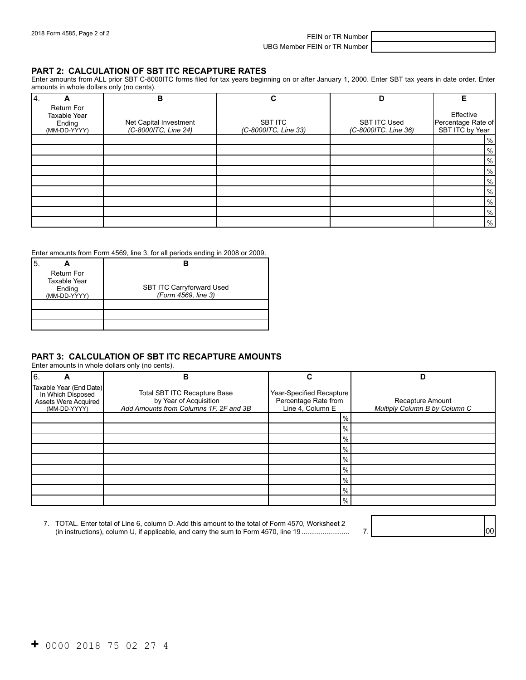2018 Form 4585, Page 2 of 2 FEIN or TR Number

UBG Member FEIN or TR Number

#### **PART 2: CALCULATION OF SBT ITC RECAPTURE RATES**

 Enter amounts from ALL prior SBT C-8000ITC forms filed for tax years beginning on or after January 1, 2000. Enter SBT tax years in date order. Enter amounts in whole dollars only (no cents).

| <sup>4</sup>                                                       | B                                              | С                               | D                                           | Е                                                  |
|--------------------------------------------------------------------|------------------------------------------------|---------------------------------|---------------------------------------------|----------------------------------------------------|
| <b>Return For</b><br><b>Taxable Year</b><br>Ending<br>(MM-DD-YYYY) | Net Capital Investment<br>(C-8000ITC, Line 24) | SBT ITC<br>(C-8000ITC, Line 33) | <b>SBT ITC Used</b><br>(C-8000ITC, Line 36) | Effective<br>Percentage Rate of<br>SBT ITC by Year |
|                                                                    |                                                |                                 |                                             | %                                                  |
|                                                                    |                                                |                                 |                                             | %                                                  |
|                                                                    |                                                |                                 |                                             | %                                                  |
|                                                                    |                                                |                                 |                                             | %                                                  |
|                                                                    |                                                |                                 |                                             | $\%$                                               |
|                                                                    |                                                |                                 |                                             | %                                                  |
|                                                                    |                                                |                                 |                                             | %                                                  |
|                                                                    |                                                |                                 |                                             | $\%$                                               |
|                                                                    |                                                |                                 |                                             | %                                                  |

#### Enter amounts from Form 4569, line 3, for all periods ending in 2008 or 2009.

| <b>Return For</b><br>Taxable Year<br>Ending<br>(MM-DD-YYYY) | <b>SBT ITC Carryforward Used</b><br>(Form 4569, line 3) |
|-------------------------------------------------------------|---------------------------------------------------------|
|                                                             |                                                         |

## **PART 3: CALCULATION OF SBT ITC RECAPTURE AMOUNTS**

| Enter amounts in whole dollars only (no cents).                                      |                                                                                                         |                                                                      |                                                   |
|--------------------------------------------------------------------------------------|---------------------------------------------------------------------------------------------------------|----------------------------------------------------------------------|---------------------------------------------------|
| 16.<br>A                                                                             | в                                                                                                       | С                                                                    | D                                                 |
| Taxable Year (End Date)<br>In Which Disposed<br>Assets Were Acquired<br>(MM-DD-YYYY) | <b>Total SBT ITC Recapture Base</b><br>by Year of Acquisition<br>Add Amounts from Columns 1F, 2F and 3B | Year-Specified Recapture<br>Percentage Rate from<br>Line 4, Column E | Recapture Amount<br>Multiply Column B by Column C |
|                                                                                      |                                                                                                         | $\frac{9}{6}$                                                        |                                                   |
|                                                                                      |                                                                                                         | $\frac{9}{6}$                                                        |                                                   |
|                                                                                      |                                                                                                         | $\frac{9}{6}$                                                        |                                                   |
|                                                                                      |                                                                                                         | $\frac{9}{6}$                                                        |                                                   |
|                                                                                      |                                                                                                         | $\frac{9}{6}$                                                        |                                                   |
|                                                                                      |                                                                                                         | $\frac{9}{6}$                                                        |                                                   |
|                                                                                      |                                                                                                         | $\frac{9}{6}$                                                        |                                                   |
|                                                                                      |                                                                                                         | $\frac{9}{6}$                                                        |                                                   |
|                                                                                      |                                                                                                         | $\frac{9}{6}$                                                        |                                                   |

| . TOTAL. Enter total of Line 6, column D. Add this amount to the total of Form 4570, Worksheet 2 |  |
|--------------------------------------------------------------------------------------------------|--|
| (in instructions), column U, if applicable, and carry the sum to Form 4570, line 19              |  |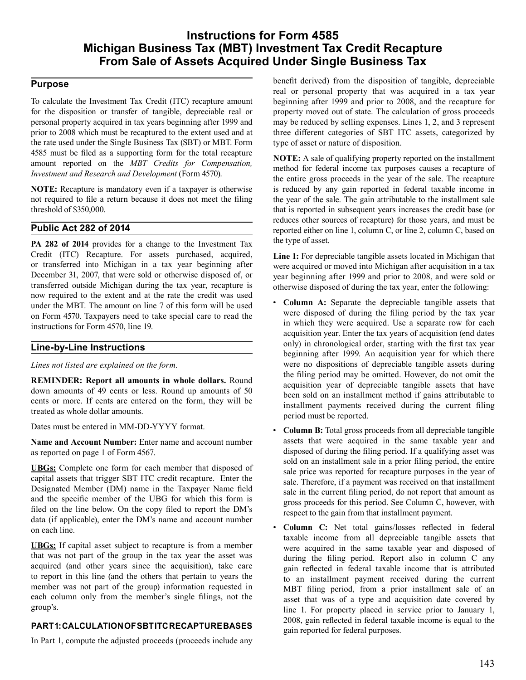## **Instructions for Form 4585 Michigan Business Tax (MBT) Investment Tax Credit Recapture From Sale of Assets Acquired Under Single Business Tax**

### **Purpose**

 To calculate the Investment Tax Credit (ITC) recapture amount for the disposition or transfer of tangible, depreciable real or personal property acquired in tax years beginning after 1999 and prior to 2008 which must be recaptured to the extent used and at the rate used under the Single Business Tax (SBT) or MBT. Form 4585 must be filed as a supporting form for the total recapture amount reported on the *MBT Credits for Compensation, Investment and Research and Development* (Form 4570).

 **NOTE:** Recapture is mandatory even if a taxpayer is otherwise not required to file a return because it does not meet the filing threshold of \$350,000.

## **Public Act 282 of 2014**

 **PA 282 of 2014** provides for a change to the Investment Tax Credit (ITC) Recapture. For assets purchased, acquired, or transferred into Michigan in a tax year beginning after December 31, 2007, that were sold or otherwise disposed of, or transferred outside Michigan during the tax year, recapture is now required to the extent and at the rate the credit was used under the MBT. The amount on line 7 of this form will be used on Form 4570. Taxpayers need to take special care to read the instructions for Form 4570, line 19.

#### **Line-by-Line Instructions**

*Lines not listed are explained on the form.* 

 **REMINDER: Report all amounts in whole dollars.** Round down amounts of 49 cents or less. Round up amounts of 50 cents or more. If cents are entered on the form, they will be treated as whole dollar amounts.

 Dates must be entered in MM-DD-YYYY format.

 **Name and Account Number:** Enter name and account number as reported on page 1 of Form 4567.

 **UBGs:** Complete one form for each member that disposed of capital assets that trigger SBT ITC credit recapture. Enter the Designated Member (DM) name in the Taxpayer Name field and the specific member of the UBG for which this form is filed on the line below. On the copy filed to report the DM's data (if applicable), enter the DM's name and account number on each line.

 **UBGs:** If capital asset subject to recapture is from a member that was not part of the group in the tax year the asset was acquired (and other years since the acquisition), take care to report in this line (and the others that pertain to years the member was not part of the group) information requested in each column only from the member's single filings, not the group's.

## **PART1: CALCULATION OF SBT ITC RECAPTURE BASES**

 In Part 1, compute the adjusted proceeds (proceeds include any

 benefit derived) from the disposition of tangible, depreciable real or personal property that was acquired in a tax year beginning after 1999 and prior to 2008, and the recapture for property moved out of state. The calculation of gross proceeds may be reduced by selling expenses. Lines 1, 2, and 3 represent three different categories of SBT ITC assets, categorized by type of asset or nature of disposition.

 **NOTE:** A sale of qualifying property reported on the installment method for federal income tax purposes causes a recapture of the entire gross proceeds in the year of the sale. The recapture is reduced by any gain reported in federal taxable income in the year of the sale. The gain attributable to the installment sale that is reported in subsequent years increases the credit base (or reduces other sources of recapture) for those years, and must be reported either on line 1, column C, or line 2, column C, based on the type of asset.

 **Line 1:** For depreciable tangible assets located in Michigan that were acquired or moved into Michigan after acquisition in a tax year beginning after 1999 and prior to 2008, and were sold or otherwise disposed of during the tax year, enter the following:

- **Column A:** Separate the depreciable tangible assets that were disposed of during the filing period by the tax year in which they were acquired. Use a separate row for each acquisition year. Enter the tax years of acquisition (end dates only) in chronological order, starting with the first tax year beginning after 1999. An acquisition year for which there were no dispositions of depreciable tangible assets during the filing period may be omitted. However, do not omit the acquisition year of depreciable tangible assets that have been sold on an installment method if gains attributable to installment payments received during the current filing period must be reported.
- **Column B:** Total gross proceeds from all depreciable tangible assets that were acquired in the same taxable year and disposed of during the filing period. If a qualifying asset was sold on an installment sale in a prior filing period, the entire sale price was reported for recapture purposes in the year of sale. Therefore, if a payment was received on that installment sale in the current filing period, do not report that amount as gross proceeds for this period. See Column C, however, with respect to the gain from that installment payment.
- **Column C:** Net total gains/losses reflected in federal taxable income from all depreciable tangible assets that were acquired in the same taxable year and disposed of during the filing period. Report also in column C any gain reflected in federal taxable income that is attributed to an installment payment received during the current MBT filing period, from a prior installment sale of an asset that was of a type and acquisition date covered by line 1. For property placed in service prior to January 1, 2008, gain reflected in federal taxable income is equal to the gain reported for federal purposes.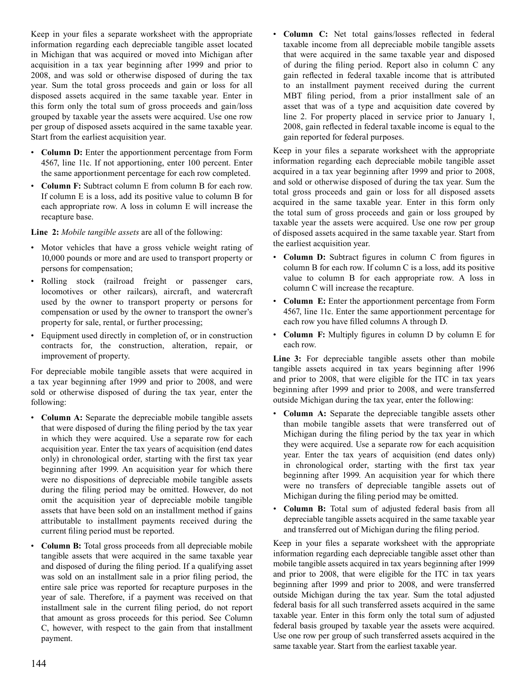Keep in your files a separate worksheet with the appropriate information regarding each depreciable tangible asset located in Michigan that was acquired or moved into Michigan after acquisition in a tax year beginning after 1999 and prior to 2008, and was sold or otherwise disposed of during the tax year. Sum the total gross proceeds and gain or loss for all disposed assets acquired in the same taxable year. Enter in this form only the total sum of gross proceeds and gain/loss grouped by taxable year the assets were acquired. Use one row per group of disposed assets acquired in the same taxable year. Start from the earliest acquisition year.

- **Column D:** Enter the apportionment percentage from Form 4567, line 11c. If not apportioning, enter 100 percent. Enter the same apportionment percentage for each row completed.
- **Column F:** Subtract column E from column B for each row. If column E is a loss, add its positive value to column B for each appropriate row. A loss in column E will increase the recapture base.

 **Line 2:** *Mobile tangible assets* are all of the following:

- Motor vehicles that have a gross vehicle weight rating of 10,000 pounds or more and are used to transport property or persons for compensation;
- Rolling stock (railroad freight or passenger cars, locomotives or other railcars), aircraft, and watercraft used by the owner to transport property or persons for compensation or used by the owner to transport the owner's property for sale, rental, or further processing;
- Equipment used directly in completion of, or in construction contracts for, the construction, alteration, repair, or improvement of property.

 For depreciable mobile tangible assets that were acquired in a tax year beginning after 1999 and prior to 2008, and were sold or otherwise disposed of during the tax year, enter the following:

- **Column A:** Separate the depreciable mobile tangible assets that were disposed of during the filing period by the tax year in which they were acquired. Use a separate row for each acquisition year. Enter the tax years of acquisition (end dates only) in chronological order, starting with the first tax year beginning after 1999. An acquisition year for which there were no dispositions of depreciable mobile tangible assets during the filing period may be omitted. However, do not omit the acquisition year of depreciable mobile tangible assets that have been sold on an installment method if gains attributable to installment payments received during the current filing period must be reported.
- **Column B:** Total gross proceeds from all depreciable mobile tangible assets that were acquired in the same taxable year and disposed of during the filing period. If a qualifying asset was sold on an installment sale in a prior filing period, the entire sale price was reported for recapture purposes in the year of sale. Therefore, if a payment was received on that installment sale in the current filing period, do not report that amount as gross proceeds for this period. See Column C, however, with respect to the gain from that installment payment.

 • **Column C:** Net total gains/losses reflected in federal taxable income from all depreciable mobile tangible assets that were acquired in the same taxable year and disposed of during the filing period. Report also in column C any gain reflected in federal taxable income that is attributed to an installment payment received during the current MBT filing period, from a prior installment sale of an asset that was of a type and acquisition date covered by line 2. For property placed in service prior to January 1, 2008, gain reflected in federal taxable income is equal to the gain reported for federal purposes.

 Keep in your files a separate worksheet with the appropriate information regarding each depreciable mobile tangible asset acquired in a tax year beginning after 1999 and prior to 2008, and sold or otherwise disposed of during the tax year. Sum the total gross proceeds and gain or loss for all disposed assets acquired in the same taxable year. Enter in this form only the total sum of gross proceeds and gain or loss grouped by taxable year the assets were acquired. Use one row per group of disposed assets acquired in the same taxable year. Start from the earliest acquisition year.

- **Column D:** Subtract figures in column C from figures in column B for each row. If column C is a loss, add its positive value to column B for each appropriate row. A loss in column C will increase the recapture.
- **Column E:** Enter the apportionment percentage from Form 4567, line 11c. Enter the same apportionment percentage for each row you have filled columns A through D.
- **Column F:** Multiply figures in column D by column E for each row.

 **Line 3:** For depreciable tangible assets other than mobile tangible assets acquired in tax years beginning after 1996 and prior to 2008, that were eligible for the ITC in tax years beginning after 1999 and prior to 2008, and were transferred outside Michigan during the tax year, enter the following:

- **Column A:** Separate the depreciable tangible assets other than mobile tangible assets that were transferred out of Michigan during the filing period by the tax year in which they were acquired. Use a separate row for each acquisition year. Enter the tax years of acquisition (end dates only) in chronological order, starting with the first tax year beginning after 1999. An acquisition year for which there were no transfers of depreciable tangible assets out of Michigan during the filing period may be omitted.
- **Column B:** Total sum of adjusted federal basis from all depreciable tangible assets acquired in the same taxable year and transferred out of Michigan during the filing period.

 Keep in your files a separate worksheet with the appropriate information regarding each depreciable tangible asset other than mobile tangible assets acquired in tax years beginning after 1999 and prior to 2008, that were eligible for the ITC in tax years beginning after 1999 and prior to 2008, and were transferred outside Michigan during the tax year. Sum the total adjusted federal basis for all such transferred assets acquired in the same taxable year. Enter in this form only the total sum of adjusted federal basis grouped by taxable year the assets were acquired. Use one row per group of such transferred assets acquired in the same taxable year. Start from the earliest taxable year.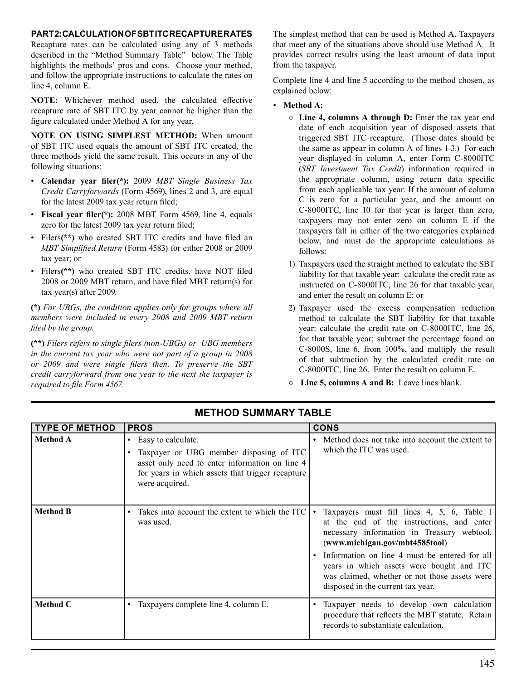#### **PART2:CALCULATION OFSBTITC RECAPTURERATES**

 Recapture rates can be calculated using any of 3 methods described in the "Method Summary Table" below. The Table highlights the methods' pros and cons. Choose your method, and follow the appropriate instructions to calculate the rates on line 4, column E.

 **NOTE:** Whichever method used, the calculated effective recapture rate of SBT ITC by year cannot be higher than the figure calculated under Method A for any year.

 **NOTE ON USING SIMPLEST METHOD:** When amount of SBT ITC used equals the amount of SBT ITC created, the three methods yield the same result. This occurs in any of the following situations:

- **Calendar year filer(\*):** 2009 *MBT Single Business Tax Credit Carryforwards* (Form 4569), lines 2 and 3, are equal for the latest 2009 tax year return filed;
- **Fiscal year filer(\*):** 2008 MBT Form 4569, line 4, equals zero for the latest 2009 tax year return filed;
- Filers**(\*\*)** who created SBT ITC credits and have filed an *MBT Simplified Return* (Form 4583) for either 2008 or 2009 tax year; or
- Filers**(\*\*)** who created SBT ITC credits, have NOT filed 2008 or 2009 MBT return, and have filed MBT return(s) for tax year(s) after 2009.

 *filed by the group.* **(\*)** *For UBGs, the condition applies only for groups where all members were included in every 2008 and 2009 MBT return* 

**(\*\*)** *Filers refers to single filers (non-UBGs) or UBG members in the current tax year who were not part of a group in 2008 or 2009 and were single filers then. To preserve the SBT credit carryforward from one year to the next the taxpayer is required to file Form 4567.*

 The simplest method that can be used is Method A. Taxpayers that meet any of the situations above should use Method A. It provides correct results using the least amount of data input from the taxpayer.

 Complete line 4 and line 5 according to the method chosen, as explained below:

- **Method A:** 
	- **Line 4, columns A through D:** Enter the tax year end date of each acquisition year of disposed assets that triggered SBT ITC recapture. (Those dates should be the same as appear in column A of lines 1-3.) For each year displayed in column A, enter Form C-8000ITC (*SBT Investment Tax Credit*) information required in the appropriate column, using return data specific from each applicable tax year. If the amount of column C is zero for a particular year, and the amount on C-8000ITC, line 10 for that year is larger than zero, taxpayers may not enter zero on column E if the taxpayers fall in either of the two categories explained below, and must do the appropriate calculations as follows:
	- 1) Taxpayers used the straight method to calculate the SBT liability for that taxable year: calculate the credit rate as instructed on C-8000ITC, line 26 for that taxable year, and enter the result on column E; or
	- 2) Taxpayer used the excess compensation reduction method to calculate the SBT liability for that taxable year: calculate the credit rate on C-8000ITC, line 26, for that taxable year; subtract the percentage found on C-8000S, line 6, from 100%, and multiply the result of that subtraction by the calculated credit rate on C-8000ITC, line 26. Enter the result on column E.
	- **Line 5, columns A and B:** Leave lines blank.

| <b>TYPE OF METHOD</b> | <b>PROS</b>                                                                                                                                                                                        | <b>CONS</b>                                                                                                                                                                                                                                                                                                                                                   |
|-----------------------|----------------------------------------------------------------------------------------------------------------------------------------------------------------------------------------------------|---------------------------------------------------------------------------------------------------------------------------------------------------------------------------------------------------------------------------------------------------------------------------------------------------------------------------------------------------------------|
| <b>Method A</b>       | Easy to calculate.<br>$\bullet$<br>Taxpayer or UBG member disposing of ITC<br>asset only need to enter information on line 4<br>for years in which assets that trigger recapture<br>were acquired. | • Method does not take into account the extent to<br>which the ITC was used.                                                                                                                                                                                                                                                                                  |
| <b>Method B</b>       | Takes into account the extent to which the ITC<br>$\bullet$<br>was used.                                                                                                                           | • Taxpayers must fill lines 4, 5, 6, Table I<br>at the end of the instructions, and enter<br>necessary information in Treasury webtool.<br>(www.michigan.gov/mbt4585tool)<br>Information on line 4 must be entered for all<br>years in which assets were bought and ITC<br>was claimed, whether or not those assets were<br>disposed in the current tax year. |
| <b>Method C</b>       | Taxpayers complete line 4, column E.                                                                                                                                                               | Taxpayer needs to develop own calculation<br>procedure that reflects the MBT statute. Retain<br>records to substantiate calculation.                                                                                                                                                                                                                          |

## **METHOD SUMMARY TABLE**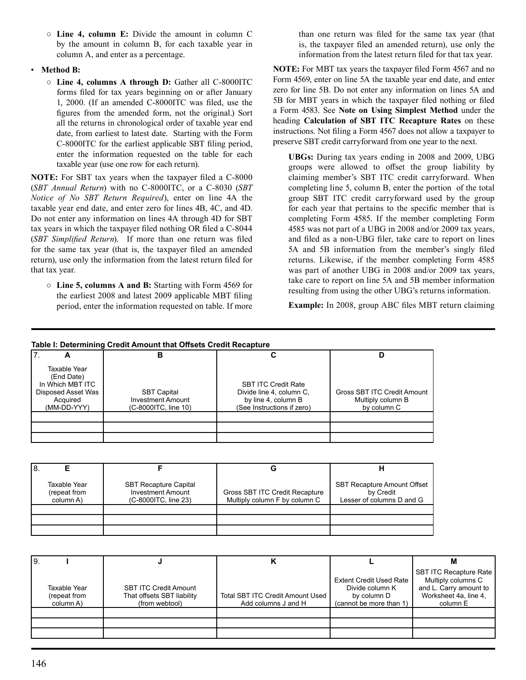- **Line 4, column E:** Divide the amount in column C by the amount in column B, for each taxable year in column A, and enter as a percentage.
- **Method B:** 
	- **Line 4, columns A through D:** Gather all C-8000ITC forms filed for tax years beginning on or after January 1, 2000. (If an amended C-8000ITC was filed, use the figures from the amended form, not the original.) Sort all the returns in chronological order of taxable year end date, from earliest to latest date. Starting with the Form C-8000ITC for the earliest applicable SBT filing period, enter the information requested on the table for each taxable year (use one row for each return).

 **NOTE:** For SBT tax years when the taxpayer filed a C-8000 (*SBT Annual Return*) with no C-8000ITC, or a C-8030 (*SBT Notice of No SBT Return Required*), enter on line 4A the taxable year end date, and enter zero for lines 4B, 4C, and 4D. Do not enter any information on lines 4A through 4D for SBT tax years in which the taxpayer filed nothing OR filed a C-8044 (*SBT Simplified Return*). If more than one return was filed for the same tax year (that is, the taxpayer filed an amended return), use only the information from the latest return filed for that tax year.

 ○ **Line 5, columns A and B:** Starting with Form 4569 for the earliest 2008 and latest 2009 applicable MBT filing period, enter the information requested on table. If more  than one return was filed for the same tax year (that is, the taxpayer filed an amended return), use only the information from the latest return filed for that tax year.

 **NOTE:** For MBT tax years the taxpayer filed Form 4567 and no Form 4569, enter on line 5A the taxable year end date, and enter zero for line 5B. Do not enter any information on lines 5A and 5B for MBT years in which the taxpayer filed nothing or filed a Form 4583. See **Note on Using Simplest Method** under the heading **Calculation of SBT ITC Recapture Rates** on these instructions. Not filing a Form 4567 does not allow a taxpayer to preserve SBT credit carryforward from one year to the next.

 **UBGs:** During tax years ending in 2008 and 2009, UBG groups were allowed to offset the group liability by claiming member's SBT ITC credit carryforward. When completing line 5, column B, enter the portion of the total group SBT ITC credit carryforward used by the group for each year that pertains to the specific member that is completing Form 4585. If the member completing Form 4585 was not part of a UBG in 2008 and/or 2009 tax years, and filed as a non-UBG filer, take care to report on lines 5A and 5B information from the member's singly filed returns. Likewise, if the member completing Form 4585 was part of another UBG in 2008 and/or 2009 tax years, take care to report on line 5A and 5B member information resulting from using the other UBG's returns information.

 **Example:** In 2008, group ABC files MBT return claiming

#### **Table I: Determining Credit Amount that Offsets Credit Recapture**

| -                                                                                               | В                                                                      |                                                                                                             |                                                                 |
|-------------------------------------------------------------------------------------------------|------------------------------------------------------------------------|-------------------------------------------------------------------------------------------------------------|-----------------------------------------------------------------|
| Taxable Year<br>(End Date)<br>In Which MBT ITC<br>Disposed Asset Was<br>Acquired<br>(MM-DD-YYY) | <b>SBT Capital</b><br><b>Investment Amount</b><br>(C-8000ITC, line 10) | <b>SBT ITC Credit Rate</b><br>Divide line 4, column C,<br>by line 4, column B<br>(See Instructions if zero) | Gross SBT ITC Credit Amount<br>Multiply column B<br>by column C |
|                                                                                                 |                                                                        |                                                                                                             |                                                                 |

| !8. |                                           |                                                                                  |                                                                 |                                                                              |
|-----|-------------------------------------------|----------------------------------------------------------------------------------|-----------------------------------------------------------------|------------------------------------------------------------------------------|
|     | Taxable Year<br>(repeat from<br>column A) | <b>SBT Recapture Capital</b><br><b>Investment Amount</b><br>(C-8000ITC, line 23) | Gross SBT ITC Credit Recapture<br>Multiply column F by column C | <b>SBT Recapture Amount Offset</b><br>by Credit<br>Lesser of columns D and G |
|     |                                           |                                                                                  |                                                                 |                                                                              |

| I9. |                                           |                                                                              |                                                                |                                                                                             | M                                                                                                                  |
|-----|-------------------------------------------|------------------------------------------------------------------------------|----------------------------------------------------------------|---------------------------------------------------------------------------------------------|--------------------------------------------------------------------------------------------------------------------|
|     | Taxable Year<br>(repeat from<br>column A) | <b>SBT ITC Credit Amount</b><br>That offsets SBT liability<br>(from webtool) | <b>Total SBT ITC Credit Amount Used</b><br>Add columns J and H | <b>Extent Credit Used Rate</b><br>Divide column K<br>by column D<br>(cannot be more than 1) | <b>SBT ITC Recapture Rate</b><br>Multiply columns C<br>and L. Carry amount to<br>Worksheet 4a, line 4,<br>column E |
|     |                                           |                                                                              |                                                                |                                                                                             |                                                                                                                    |
|     |                                           |                                                                              |                                                                |                                                                                             |                                                                                                                    |
|     |                                           |                                                                              |                                                                |                                                                                             |                                                                                                                    |